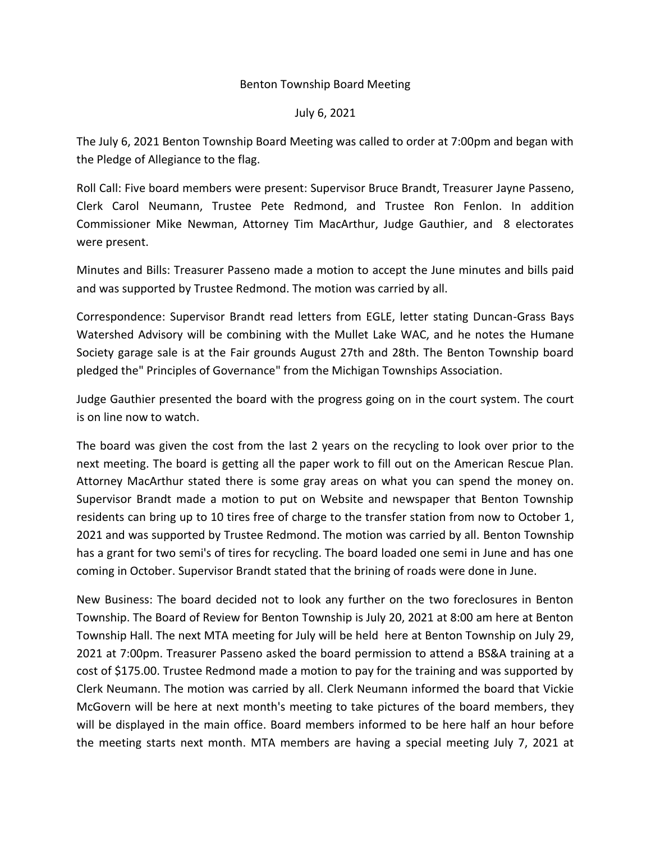## Benton Township Board Meeting

## July 6, 2021

The July 6, 2021 Benton Township Board Meeting was called to order at 7:00pm and began with the Pledge of Allegiance to the flag.

Roll Call: Five board members were present: Supervisor Bruce Brandt, Treasurer Jayne Passeno, Clerk Carol Neumann, Trustee Pete Redmond, and Trustee Ron Fenlon. In addition Commissioner Mike Newman, Attorney Tim MacArthur, Judge Gauthier, and 8 electorates were present.

Minutes and Bills: Treasurer Passeno made a motion to accept the June minutes and bills paid and was supported by Trustee Redmond. The motion was carried by all.

Correspondence: Supervisor Brandt read letters from EGLE, letter stating Duncan-Grass Bays Watershed Advisory will be combining with the Mullet Lake WAC, and he notes the Humane Society garage sale is at the Fair grounds August 27th and 28th. The Benton Township board pledged the" Principles of Governance" from the Michigan Townships Association.

Judge Gauthier presented the board with the progress going on in the court system. The court is on line now to watch.

The board was given the cost from the last 2 years on the recycling to look over prior to the next meeting. The board is getting all the paper work to fill out on the American Rescue Plan. Attorney MacArthur stated there is some gray areas on what you can spend the money on. Supervisor Brandt made a motion to put on Website and newspaper that Benton Township residents can bring up to 10 tires free of charge to the transfer station from now to October 1, 2021 and was supported by Trustee Redmond. The motion was carried by all. Benton Township has a grant for two semi's of tires for recycling. The board loaded one semi in June and has one coming in October. Supervisor Brandt stated that the brining of roads were done in June.

New Business: The board decided not to look any further on the two foreclosures in Benton Township. The Board of Review for Benton Township is July 20, 2021 at 8:00 am here at Benton Township Hall. The next MTA meeting for July will be held here at Benton Township on July 29, 2021 at 7:00pm. Treasurer Passeno asked the board permission to attend a BS&A training at a cost of \$175.00. Trustee Redmond made a motion to pay for the training and was supported by Clerk Neumann. The motion was carried by all. Clerk Neumann informed the board that Vickie McGovern will be here at next month's meeting to take pictures of the board members, they will be displayed in the main office. Board members informed to be here half an hour before the meeting starts next month. MTA members are having a special meeting July 7, 2021 at